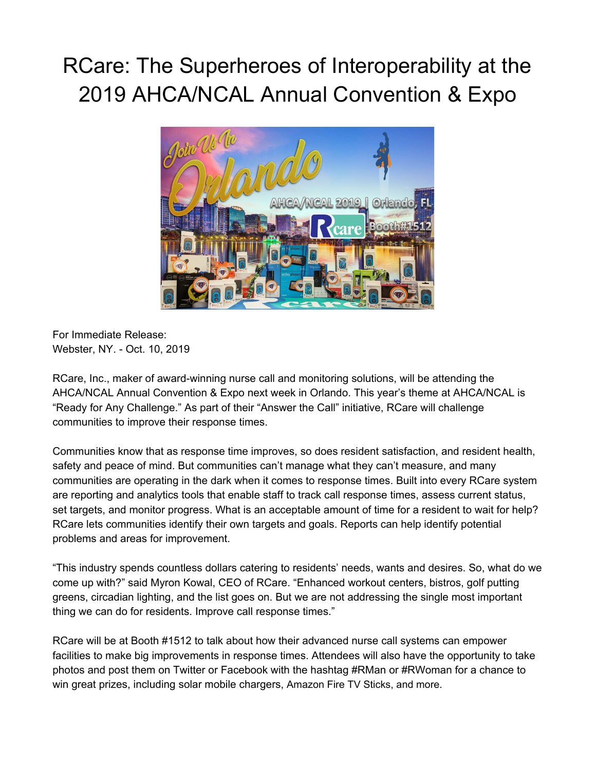## RCare: The Superheroes of Interoperability at the 2019 AHCA/NCAL Annual Convention & Expo



For Immediate Release: Webster, NY. - Oct. 10, 2019

RCare, Inc., maker of award-winning nurse call and monitoring solutions, will be attending the AHCA/NCAL Annual Convention & Expo next week in Orlando. This year's theme at AHCA/NCAL is "Ready for Any Challenge." As part of their "Answer the Call" initiative, RCare will challenge communities to improve their response times.

Communities know that as response time improves, so does resident satisfaction, and resident health, safety and peace of mind. But communities can't manage what they can't measure, and many communities are operating in the dark when it comes to response times. Built into every RCare system are reporting and analytics tools that enable staff to track call response times, assess current status, set targets, and monitor progress. What is an acceptable amount of time for a resident to wait for help? RCare lets communities identify their own targets and goals. Reports can help identify potential problems and areas for improvement.

"This industry spends countless dollars catering to residents' needs, wants and desires. So, what do we come up with?" said Myron Kowal, CEO of RCare. "Enhanced workout centers, bistros, golf putting greens, circadian lighting, and the list goes on. But we are not addressing the single most important thing we can do for residents. Improve call response times."

RCare will be at Booth #1512 to talk about how their advanced nurse call systems can empower facilities to make big improvements in response times. Attendees will also have the opportunity to take photos and post them on Twitter or Facebook with the hashtag #RMan or #RWoman for a chance to win great prizes, including solar mobile chargers, Amazon Fire TV Sticks, and more.